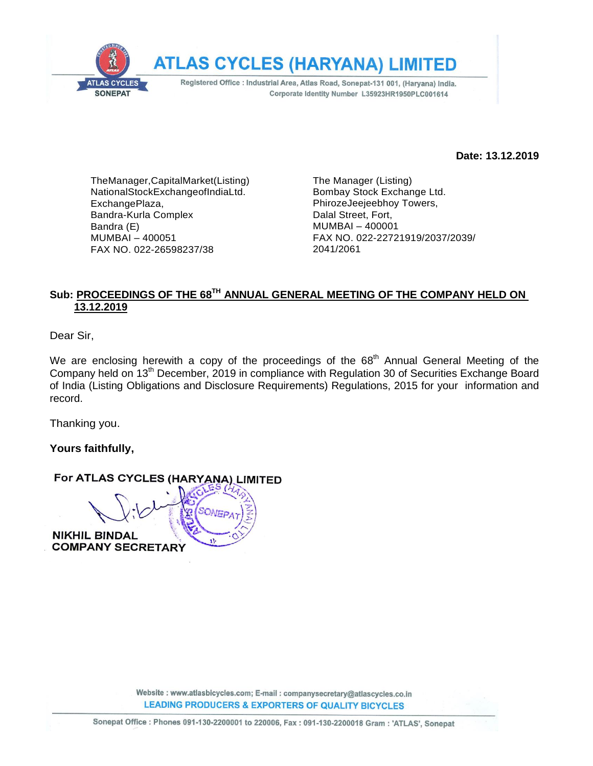

**Date: 13.12.2019**

TheManager,CapitalMarket(Listing) NationalStockExchangeofIndiaLtd. ExchangePlaza, Bandra-Kurla Complex Bandra (E) MUMBAI – 400051 FAX NO. 022-26598237/38

The Manager (Listing) Bombay Stock Exchange Ltd. PhirozeJeejeebhoy Towers, Dalal Street, Fort, MUMBAI – 400001 FAX NO. 022-22721919/2037/2039/ 2041/2061

#### **Sub: PROCEEDINGS OF THE 68 TH ANNUAL GENERAL MEETING OF THE COMPANY HELD ON 13.12.2019**

Dear Sir,

We are enclosing herewith a copy of the proceedings of the  $68<sup>th</sup>$  Annual General Meeting of the Company held on 13th December, 2019 in compliance with Regulation 30 of Securities Exchange Board of India (Listing Obligations and Disclosure Requirements) Regulations, 2015 for your information and record.

Thanking you.

**Yours faithfully,**

#### For ATLAS CYCLES (HARYANA) LIMITED

**NIKHIL BINDAL COMPANY SECRETARY**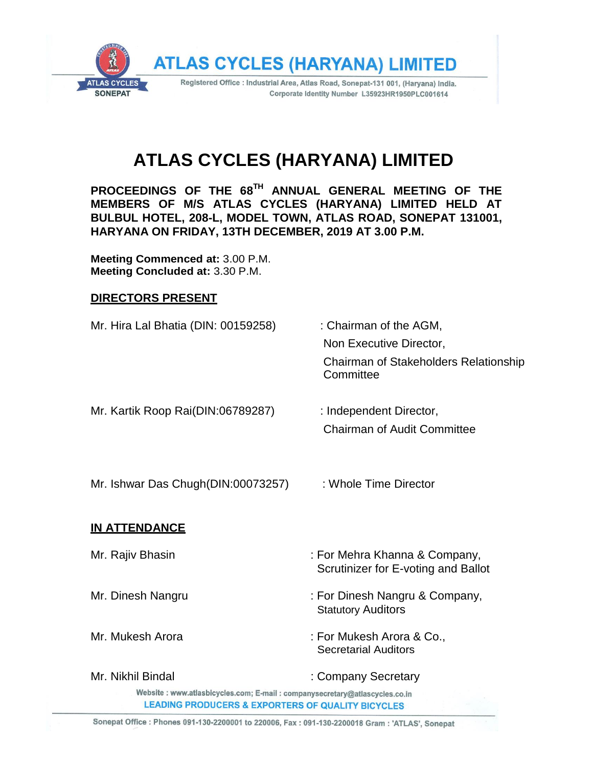

# **ATLAS CYCLES (HARYANA) LIMITED**

**PROCEEDINGS OF THE 68 TH ANNUAL GENERAL MEETING OF THE MEMBERS OF M/S ATLAS CYCLES (HARYANA) LIMITED HELD AT BULBUL HOTEL, 208-L, MODEL TOWN, ATLAS ROAD, SONEPAT 131001, HARYANA ON FRIDAY, 13TH DECEMBER, 2019 AT 3.00 P.M.**

**Meeting Commenced at:** 3.00 P.M. **Meeting Concluded at:** 3.30 P.M.

#### **DIRECTORS PRESENT**

| : Chairman of the AGM,<br>Non Executive Director,<br>Chairman of Stakeholders Relationship<br>Committee                                      |
|----------------------------------------------------------------------------------------------------------------------------------------------|
| : Independent Director,<br><b>Chairman of Audit Committee</b>                                                                                |
| : Whole Time Director                                                                                                                        |
|                                                                                                                                              |
| : For Mehra Khanna & Company,<br>Scrutinizer for E-voting and Ballot                                                                         |
| : For Dinesh Nangru & Company,<br><b>Statutory Auditors</b>                                                                                  |
| : For Mukesh Arora & Co.,<br><b>Secretarial Auditors</b>                                                                                     |
| : Company Secretary                                                                                                                          |
| Website : www.atlasbicycles.com; E-mail : companysecretary@atlascycles.co.in<br><b>LEADING PRODUCERS &amp; EXPORTERS OF QUALITY BICYCLES</b> |
|                                                                                                                                              |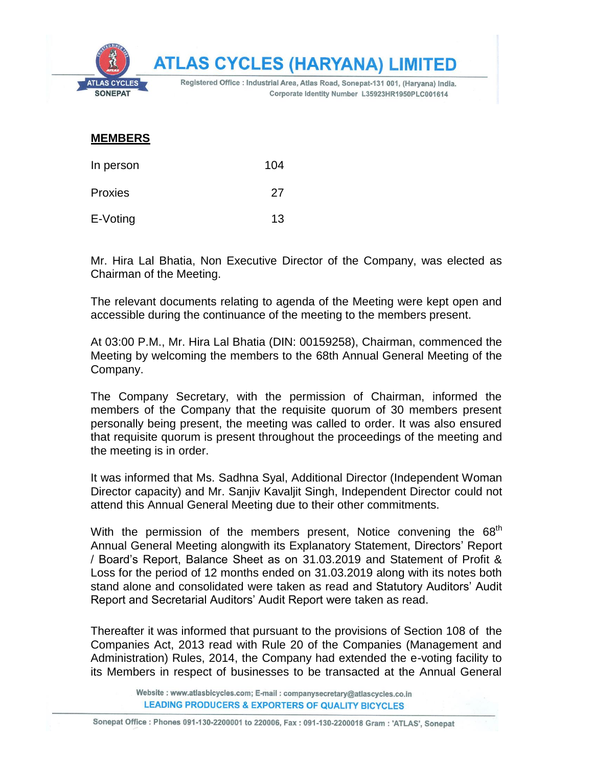

#### **MEMBERS**

| In person | 104 |
|-----------|-----|
| Proxies   | 27  |
| E-Voting  | 13  |

Mr. Hira Lal Bhatia, Non Executive Director of the Company, was elected as Chairman of the Meeting.

The relevant documents relating to agenda of the Meeting were kept open and accessible during the continuance of the meeting to the members present.

At 03:00 P.M., Mr. Hira Lal Bhatia (DIN: 00159258), Chairman, commenced the Meeting by welcoming the members to the 68th Annual General Meeting of the Company.

The Company Secretary, with the permission of Chairman, informed the members of the Company that the requisite quorum of 30 members present personally being present, the meeting was called to order. It was also ensured that requisite quorum is present throughout the proceedings of the meeting and the meeting is in order.

It was informed that Ms. Sadhna Syal, Additional Director (Independent Woman Director capacity) and Mr. Sanjiv Kavaljit Singh, Independent Director could not attend this Annual General Meeting due to their other commitments.

With the permission of the members present, Notice convening the 68<sup>th</sup> Annual General Meeting alongwith its Explanatory Statement, Directors' Report / Board's Report, Balance Sheet as on 31.03.2019 and Statement of Profit & Loss for the period of 12 months ended on 31.03.2019 along with its notes both stand alone and consolidated were taken as read and Statutory Auditors' Audit Report and Secretarial Auditors' Audit Report were taken as read.

Thereafter it was informed that pursuant to the provisions of Section 108 of the Companies Act, 2013 read with Rule 20 of the Companies (Management and Administration) Rules, 2014, the Company had extended the e-voting facility to its Members in respect of businesses to be transacted at the Annual General

> Website : www.atlasbicycles.com; E-mail : companysecretary@atlascycles.co.in **LEADING PRODUCERS & EXPORTERS OF QUALITY BICYCLES**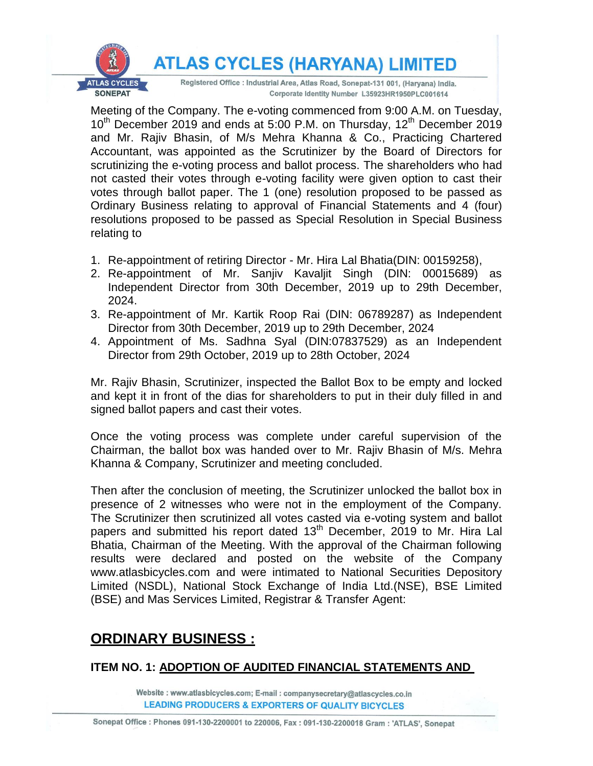**ATLAS CYCLES (HARYANA) LIMITED** 



Registered Office : Industrial Area, Atlas Road, Sonepat-131 001, (Haryana) India. Corporate Identity Number L35923HR1950PLC001614

Meeting of the Company. The e-voting commenced from 9:00 A.M. on Tuesday,  $10^{th}$  December 2019 and ends at 5:00 P.M. on Thursday, 12<sup>th</sup> December 2019 and Mr. Rajiv Bhasin, of M/s Mehra Khanna & Co., Practicing Chartered Accountant, was appointed as the Scrutinizer by the Board of Directors for scrutinizing the e-voting process and ballot process. The shareholders who had not casted their votes through e-voting facility were given option to cast their votes through ballot paper. The 1 (one) resolution proposed to be passed as Ordinary Business relating to approval of Financial Statements and 4 (four) resolutions proposed to be passed as Special Resolution in Special Business relating to

- 1. Re-appointment of retiring Director Mr. Hira Lal Bhatia(DIN: 00159258),
- 2. Re-appointment of Mr. Sanjiv Kavaljit Singh (DIN: 00015689) as Independent Director from 30th December, 2019 up to 29th December, 2024.
- 3. Re-appointment of Mr. Kartik Roop Rai (DIN: 06789287) as Independent Director from 30th December, 2019 up to 29th December, 2024
- 4. Appointment of Ms. Sadhna Syal (DIN:07837529) as an Independent Director from 29th October, 2019 up to 28th October, 2024

Mr. Rajiv Bhasin, Scrutinizer, inspected the Ballot Box to be empty and locked and kept it in front of the dias for shareholders to put in their duly filled in and signed ballot papers and cast their votes.

Once the voting process was complete under careful supervision of the Chairman, the ballot box was handed over to Mr. Rajiv Bhasin of M/s. Mehra Khanna & Company, Scrutinizer and meeting concluded.

Then after the conclusion of meeting, the Scrutinizer unlocked the ballot box in presence of 2 witnesses who were not in the employment of the Company. The Scrutinizer then scrutinized all votes casted via e-voting system and ballot papers and submitted his report dated  $13<sup>th</sup>$  December, 2019 to Mr. Hira Lal Bhatia, Chairman of the Meeting. With the approval of the Chairman following results were declared and posted on the website of the Company www.atlasbicycles.com and were intimated to National Securities Depository Limited (NSDL), National Stock Exchange of India Ltd.(NSE), BSE Limited (BSE) and Mas Services Limited, Registrar & Transfer Agent:

# **ORDINARY BUSINESS :**

### **ITEM NO. 1: ADOPTION OF AUDITED FINANCIAL STATEMENTS AND**

Website: www.atlasbicycles.com; E-mail: companysecretary@atlascycles.co.in **LEADING PRODUCERS & EXPORTERS OF QUALITY BICYCLES**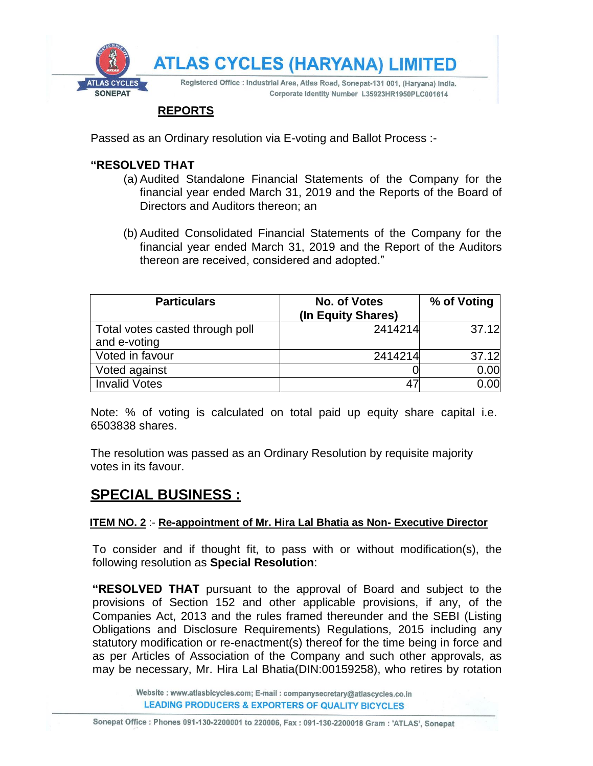

#### **REPORTS**

Passed as an Ordinary resolution via E-voting and Ballot Process :-

#### **"RESOLVED THAT**

- (a) Audited Standalone Financial Statements of the Company for the financial year ended March 31, 2019 and the Reports of the Board of Directors and Auditors thereon; an
- (b) Audited Consolidated Financial Statements of the Company for the financial year ended March 31, 2019 and the Report of the Auditors thereon are received, considered and adopted."

| <b>Particulars</b>                              | No. of Votes<br>(In Equity Shares) | % of Voting |
|-------------------------------------------------|------------------------------------|-------------|
| Total votes casted through poll<br>and e-voting | 2414214                            | 37.12       |
| Voted in favour                                 | 2414214                            | 37.12       |
| Voted against                                   |                                    | 0.00        |
| <b>Invalid Votes</b>                            | 47                                 | 0.00        |

Note: % of voting is calculated on total paid up equity share capital i.e. 6503838 shares.

The resolution was passed as an Ordinary Resolution by requisite majority votes in its favour.

## **SPECIAL BUSINESS :**

#### **ITEM NO. 2** :- **Re-appointment of Mr. Hira Lal Bhatia as Non- Executive Director**

To consider and if thought fit, to pass with or without modification(s), the following resolution as **Special Resolution**:

**"RESOLVED THAT** pursuant to the approval of Board and subject to the provisions of Section 152 and other applicable provisions, if any, of the Companies Act, 2013 and the rules framed thereunder and the SEBI (Listing Obligations and Disclosure Requirements) Regulations, 2015 including any statutory modification or re-enactment(s) thereof for the time being in force and as per Articles of Association of the Company and such other approvals, as may be necessary, Mr. Hira Lal Bhatia(DIN:00159258), who retires by rotation

> Website : www.atlasbicycles.com; E-mail : companysecretary@atlascycles.co.in **LEADING PRODUCERS & EXPORTERS OF QUALITY BICYCLES**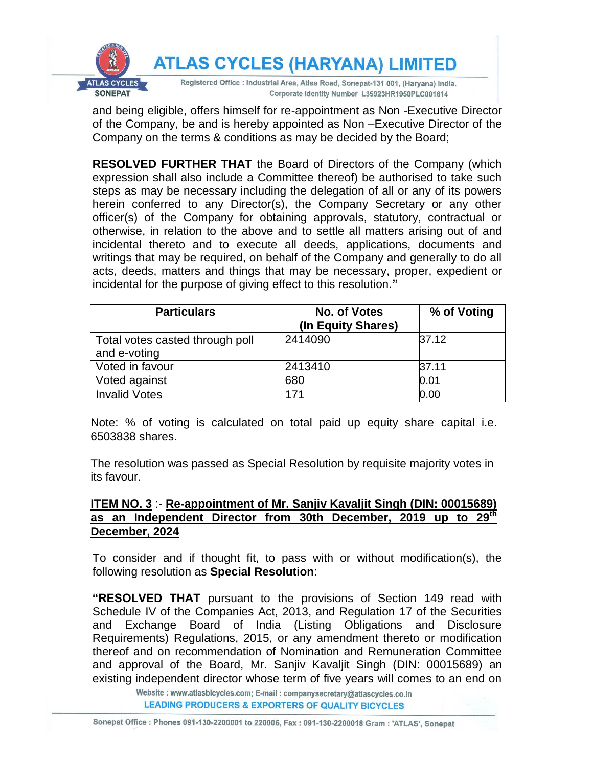

and being eligible, offers himself for re-appointment as Non -Executive Director of the Company, be and is hereby appointed as Non –Executive Director of the Company on the terms & conditions as may be decided by the Board;

**RESOLVED FURTHER THAT** the Board of Directors of the Company (which expression shall also include a Committee thereof) be authorised to take such steps as may be necessary including the delegation of all or any of its powers herein conferred to any Director(s), the Company Secretary or any other officer(s) of the Company for obtaining approvals, statutory, contractual or otherwise, in relation to the above and to settle all matters arising out of and incidental thereto and to execute all deeds, applications, documents and writings that may be required, on behalf of the Company and generally to do all acts, deeds, matters and things that may be necessary, proper, expedient or incidental for the purpose of giving effect to this resolution.**"**

| <b>Particulars</b>              | No. of Votes<br>(In Equity Shares) | % of Voting |
|---------------------------------|------------------------------------|-------------|
| Total votes casted through poll | 2414090                            | 37.12       |
| and e-voting                    |                                    |             |
| Voted in favour                 | 2413410                            | 37.11       |
| Voted against                   | 680                                | 0.01        |
| <b>Invalid Votes</b>            | 171                                | 0.00        |

Note: % of voting is calculated on total paid up equity share capital i.e. 6503838 shares.

The resolution was passed as Special Resolution by requisite majority votes in its favour.

#### **ITEM NO. 3** :- **Re-appointment of Mr. Sanjiv Kavaljit Singh (DIN: 00015689) as an Independent Director from 30th December, 2019 up to 29th December, 2024**

To consider and if thought fit, to pass with or without modification(s), the following resolution as **Special Resolution**:

**"RESOLVED THAT** pursuant to the provisions of Section 149 read with Schedule IV of the Companies Act, 2013, and Regulation 17 of the Securities and Exchange Board of India (Listing Obligations and Disclosure Requirements) Regulations, 2015, or any amendment thereto or modification thereof and on recommendation of Nomination and Remuneration Committee and approval of the Board, Mr. Sanjiv Kavaljit Singh (DIN: 00015689) an existing independent director whose term of five years will comes to an end on

> Website: www.atlasbicycles.com; E-mail: companysecretary@atlascycles.co.in **LEADING PRODUCERS & EXPORTERS OF QUALITY BICYCLES**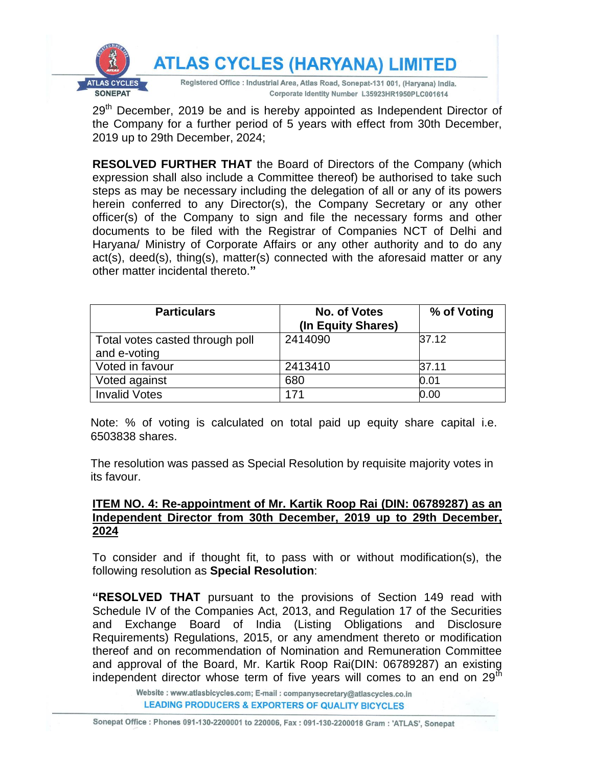

29<sup>th</sup> December, 2019 be and is hereby appointed as Independent Director of the Company for a further period of 5 years with effect from 30th December, 2019 up to 29th December, 2024;

**RESOLVED FURTHER THAT** the Board of Directors of the Company (which expression shall also include a Committee thereof) be authorised to take such steps as may be necessary including the delegation of all or any of its powers herein conferred to any Director(s), the Company Secretary or any other officer(s) of the Company to sign and file the necessary forms and other documents to be filed with the Registrar of Companies NCT of Delhi and Haryana/ Ministry of Corporate Affairs or any other authority and to do any act(s), deed(s), thing(s), matter(s) connected with the aforesaid matter or any other matter incidental thereto.**"**

| <b>Particulars</b>              | No. of Votes<br>(In Equity Shares) | % of Voting |
|---------------------------------|------------------------------------|-------------|
| Total votes casted through poll | 2414090                            | 37.12       |
| and e-voting                    |                                    |             |
| Voted in favour                 | 2413410                            | 37.11       |
| Voted against                   | 680                                | 0.01        |
| <b>Invalid Votes</b>            | 171                                | 0.00        |

Note: % of voting is calculated on total paid up equity share capital i.e. 6503838 shares.

The resolution was passed as Special Resolution by requisite majority votes in its favour.

#### **ITEM NO. 4: Re-appointment of Mr. Kartik Roop Rai (DIN: 06789287) as an Independent Director from 30th December, 2019 up to 29th December, 2024**

To consider and if thought fit, to pass with or without modification(s), the following resolution as **Special Resolution**:

**"RESOLVED THAT** pursuant to the provisions of Section 149 read with Schedule IV of the Companies Act, 2013, and Regulation 17 of the Securities and Exchange Board of India (Listing Obligations and Disclosure Requirements) Regulations, 2015, or any amendment thereto or modification thereof and on recommendation of Nomination and Remuneration Committee and approval of the Board, Mr. Kartik Roop Rai(DIN: 06789287) an existing independent director whose term of five years will comes to an end on  $29<sup>th</sup>$ 

> Website: www.atlasbicycles.com; E-mail: companysecretary@atlascycles.co.in **LEADING PRODUCERS & EXPORTERS OF QUALITY BICYCLES**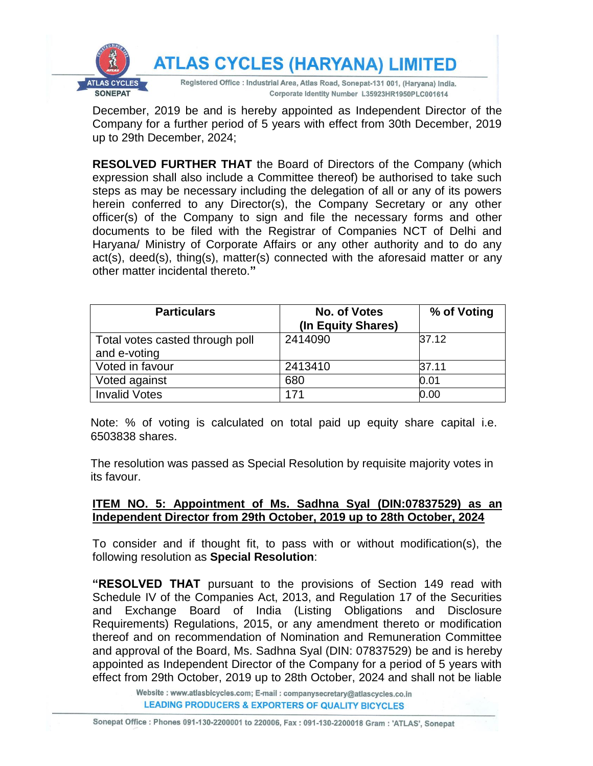

December, 2019 be and is hereby appointed as Independent Director of the Company for a further period of 5 years with effect from 30th December, 2019 up to 29th December, 2024;

**RESOLVED FURTHER THAT** the Board of Directors of the Company (which expression shall also include a Committee thereof) be authorised to take such steps as may be necessary including the delegation of all or any of its powers herein conferred to any Director(s), the Company Secretary or any other officer(s) of the Company to sign and file the necessary forms and other documents to be filed with the Registrar of Companies NCT of Delhi and Haryana/ Ministry of Corporate Affairs or any other authority and to do any act(s), deed(s), thing(s), matter(s) connected with the aforesaid matter or any other matter incidental thereto.**"**

| <b>Particulars</b>              | No. of Votes<br>(In Equity Shares) | % of Voting |
|---------------------------------|------------------------------------|-------------|
| Total votes casted through poll | 2414090                            | 37.12       |
| and e-voting                    |                                    |             |
| Voted in favour                 | 2413410                            | 37.11       |
| Voted against                   | 680                                | 0.01        |
| <b>Invalid Votes</b>            | 171                                | 0.00        |

Note: % of voting is calculated on total paid up equity share capital i.e. 6503838 shares.

The resolution was passed as Special Resolution by requisite majority votes in its favour.

#### **ITEM NO. 5: Appointment of Ms. Sadhna Syal (DIN:07837529) as an Independent Director from 29th October, 2019 up to 28th October, 2024**

To consider and if thought fit, to pass with or without modification(s), the following resolution as **Special Resolution**:

**"RESOLVED THAT** pursuant to the provisions of Section 149 read with Schedule IV of the Companies Act, 2013, and Regulation 17 of the Securities and Exchange Board of India (Listing Obligations and Disclosure Requirements) Regulations, 2015, or any amendment thereto or modification thereof and on recommendation of Nomination and Remuneration Committee and approval of the Board, Ms. Sadhna Syal (DIN: 07837529) be and is hereby appointed as Independent Director of the Company for a period of 5 years with effect from 29th October, 2019 up to 28th October, 2024 and shall not be liable

> Website : www.atlasbicycles.com; E-mail : companysecretary@atlascycles.co.in **LEADING PRODUCERS & EXPORTERS OF QUALITY BICYCLES**